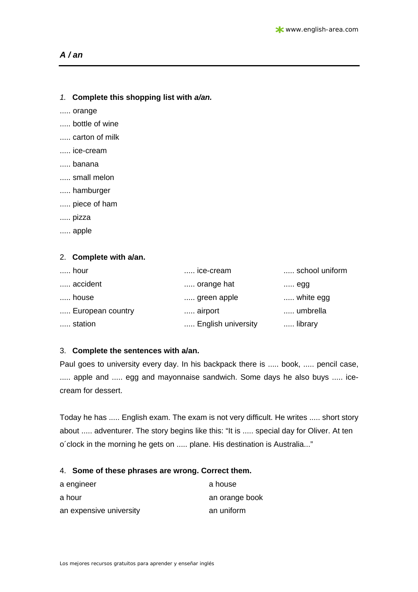# *A / an*

| 1. Complete this shopping list with a/an. |  |
|-------------------------------------------|--|
|-------------------------------------------|--|

..... orange

- ..... bottle of wine
- ..... carton of milk
- ..... ice-cream
- ..... banana
- ..... small melon
- ..... hamburger
- ..... piece of ham
- ..... pizza
- ..... apple

#### 2. **Complete with a/an.**

| hour             | ice-cream          | school uniform |
|------------------|--------------------|----------------|
| accident         | orange hat         | $\ldots$ egg   |
| house            | green apple        | white egg      |
| European country | airport            | umbrella       |
| station          | English university | library        |

## 3. **Complete the sentences with a/an.**

Paul goes to university every day. In his backpack there is ..... book, ..... pencil case, ..... apple and ..... egg and mayonnaise sandwich. Some days he also buys ..... icecream for dessert.

Today he has ..... English exam. The exam is not very difficult. He writes ..... short story about ..... adventurer. The story begins like this: "It is ..... special day for Oliver. At ten o´clock in the morning he gets on ..... plane. His destination is Australia..."

#### 4. **Some of these phrases are wrong. Correct them.**

| a engineer              | a house        |
|-------------------------|----------------|
| a hour                  | an orange book |
| an expensive university | an uniform     |